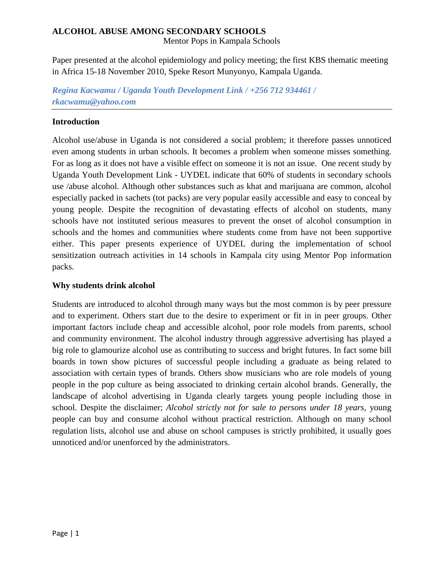### **ALCOHOL ABUSE AMONG SECONDARY SCHOOLS**

Mentor Pops in Kampala Schools

Paper presented at the alcohol epidemiology and policy meeting; the first KBS thematic meeting in Africa 15-18 November 2010, Speke Resort Munyonyo, Kampala Uganda.

*Regina Kacwamu / Uganda Youth Development Link / +256 712 934461 / [rkacwamu@yahoo.com](mailto:rkacwamu@yahoo.com)*

## **Introduction**

Alcohol use/abuse in Uganda is not considered a social problem; it therefore passes unnoticed even among students in urban schools. It becomes a problem when someone misses something. For as long as it does not have a visible effect on someone it is not an issue. One recent study by Uganda Youth Development Link - UYDEL indicate that 60% of students in secondary schools use /abuse alcohol. Although other substances such as khat and marijuana are common, alcohol especially packed in sachets (tot packs) are very popular easily accessible and easy to conceal by young people. Despite the recognition of devastating effects of alcohol on students, many schools have not instituted serious measures to prevent the onset of alcohol consumption in schools and the homes and communities where students come from have not been supportive either. This paper presents experience of UYDEL during the implementation of school sensitization outreach activities in 14 schools in Kampala city using Mentor Pop information packs.

### **Why students drink alcohol**

Students are introduced to alcohol through many ways but the most common is by peer pressure and to experiment. Others start due to the desire to experiment or fit in in peer groups. Other important factors include cheap and accessible alcohol, poor role models from parents, school and community environment. The alcohol industry through aggressive advertising has played a big role to glamourize alcohol use as contributing to success and bright futures. In fact some bill boards in town show pictures of successful people including a graduate as being related to association with certain types of brands. Others show musicians who are role models of young people in the pop culture as being associated to drinking certain alcohol brands. Generally, the landscape of alcohol advertising in Uganda clearly targets young people including those in school. Despite the disclaimer; *Alcohol strictly not for sale to persons under 18 years,* young people can buy and consume alcohol without practical restriction. Although on many school regulation lists, alcohol use and abuse on school campuses is strictly prohibited, it usually goes unnoticed and/or unenforced by the administrators.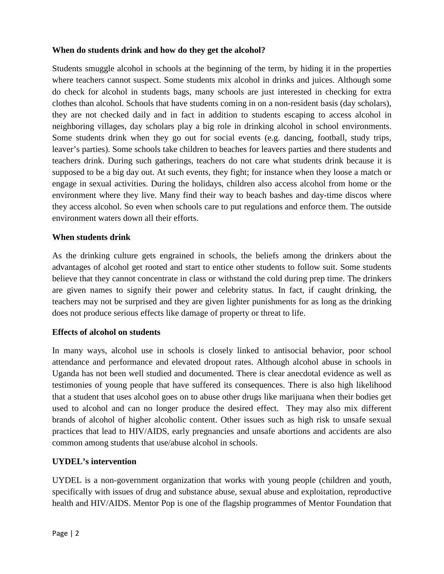# **When do students drink and how do they get the alcohol?**

Students smuggle alcohol in schools at the beginning of the term, by hiding it in the properties where teachers cannot suspect. Some students mix alcohol in drinks and juices. Although some do check for alcohol in students bags, many schools are just interested in checking for extra clothes than alcohol. Schools that have students coming in on a non-resident basis (day scholars), they are not checked daily and in fact in addition to students escaping to access alcohol in neighboring villages, day scholars play a big role in drinking alcohol in school environments. Some students drink when they go out for social events (e.g. dancing, football, study trips, leaver's parties). Some schools take children to beaches for leavers parties and there students and teachers drink. During such gatherings, teachers do not care what students drink because it is supposed to be a big day out. At such events, they fight; for instance when they loose a match or engage in sexual activities. During the holidays, children also access alcohol from home or the environment where they live. Many find their way to beach bashes and day-time discos where they access alcohol. So even when schools care to put regulations and enforce them. The outside environment waters down all their efforts.

### **When students drink**

As the drinking culture gets engrained in schools, the beliefs among the drinkers about the advantages of alcohol get rooted and start to entice other students to follow suit. Some students believe that they cannot concentrate in class or withstand the cold during prep time. The drinkers are given names to signify their power and celebrity status. In fact, if caught drinking, the teachers may not be surprised and they are given lighter punishments for as long as the drinking does not produce serious effects like damage of property or threat to life.

#### **Effects of alcohol on students**

In many ways, alcohol use in schools is closely linked to antisocial behavior, poor school attendance and performance and elevated dropout rates. Although alcohol abuse in schools in Uganda has not been well studied and documented. There is clear anecdotal evidence as well as testimonies of young people that have suffered its consequences. There is also high likelihood that a student that uses alcohol goes on to abuse other drugs like marijuana when their bodies get used to alcohol and can no longer produce the desired effect. They may also mix different brands of alcohol of higher alcoholic content. Other issues such as high risk to unsafe sexual practices that lead to HIV/AIDS, early pregnancies and unsafe abortions and accidents are also common among students that use/abuse alcohol in schools.

#### **UYDEL's intervention**

UYDEL is a non-government organization that works with young people (children and youth, specifically with issues of drug and substance abuse, sexual abuse and exploitation, reproductive health and HIV/AIDS. Mentor Pop is one of the flagship programmes of Mentor Foundation that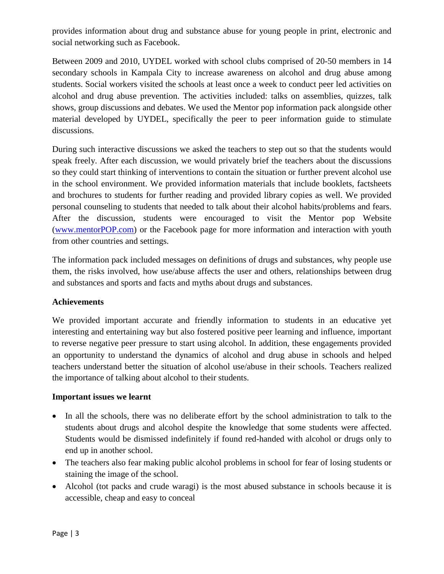provides information about drug and substance abuse for young people in print, electronic and social networking such as Facebook.

Between 2009 and 2010, UYDEL worked with school clubs comprised of 20-50 members in 14 secondary schools in Kampala City to increase awareness on alcohol and drug abuse among students. Social workers visited the schools at least once a week to conduct peer led activities on alcohol and drug abuse prevention. The activities included: talks on assemblies, quizzes, talk shows, group discussions and debates. We used the Mentor pop information pack alongside other material developed by UYDEL, specifically the peer to peer information guide to stimulate discussions.

During such interactive discussions we asked the teachers to step out so that the students would speak freely. After each discussion, we would privately brief the teachers about the discussions so they could start thinking of interventions to contain the situation or further prevent alcohol use in the school environment. We provided information materials that include booklets, factsheets and brochures to students for further reading and provided library copies as well. We provided personal counseling to students that needed to talk about their alcohol habits/problems and fears. After the discussion, students were encouraged to visit the Mentor pop Website ([www.mentorPOP.com\)](http://www.mentorpop.com/) or the Facebook page for more information and interaction with youth from other countries and settings.

The information pack included messages on definitions of drugs and substances, why people use them, the risks involved, how use/abuse affects the user and others, relationships between drug and substances and sports and facts and myths about drugs and substances.

# **Achievements**

We provided important accurate and friendly information to students in an educative yet interesting and entertaining way but also fostered positive peer learning and influence, important to reverse negative peer pressure to start using alcohol. In addition, these engagements provided an opportunity to understand the dynamics of alcohol and drug abuse in schools and helped teachers understand better the situation of alcohol use/abuse in their schools. Teachers realized the importance of talking about alcohol to their students.

# **Important issues we learnt**

- In all the schools, there was no deliberate effort by the school administration to talk to the students about drugs and alcohol despite the knowledge that some students were affected. Students would be dismissed indefinitely if found red-handed with alcohol or drugs only to end up in another school.
- The teachers also fear making public alcohol problems in school for fear of losing students or staining the image of the school.
- Alcohol (tot packs and crude waragi) is the most abused substance in schools because it is accessible, cheap and easy to conceal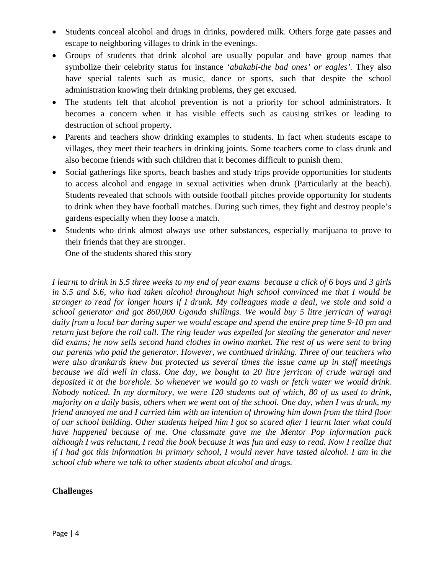- Students conceal alcohol and drugs in drinks, powdered milk. Others forge gate passes and escape to neighboring villages to drink in the evenings.
- Groups of students that drink alcohol are usually popular and have group names that symbolize their celebrity status for instance *'abakabi-the bad ones' or eagles'.* They also have special talents such as music, dance or sports, such that despite the school administration knowing their drinking problems, they get excused.
- The students felt that alcohol prevention is not a priority for school administrators. It becomes a concern when it has visible effects such as causing strikes or leading to destruction of school property.
- Parents and teachers show drinking examples to students. In fact when students escape to villages, they meet their teachers in drinking joints. Some teachers come to class drunk and also become friends with such children that it becomes difficult to punish them.
- Social gatherings like sports, beach bashes and study trips provide opportunities for students to access alcohol and engage in sexual activities when drunk (Particularly at the beach). Students revealed that schools with outside football pitches provide opportunity for students to drink when they have football matches. During such times, they fight and destroy people's gardens especially when they loose a match.
- Students who drink almost always use other substances, especially marijuana to prove to their friends that they are stronger.

One of the students shared this story

*I learnt to drink in S.5 three weeks to my end of year exams because a click of 6 boys and 3 girls in S.5 and S.6, who had taken alcohol throughout high school convinced me that I would be stronger to read for longer hours if I drunk. My colleagues made a deal, we stole and sold a school generator and got 860,000 Uganda shillings. We would buy 5 litre jerrican of waragi daily from a local bar during super we would escape and spend the entire prep time 9-10 pm and return just before the roll call. The ring leader was expelled for stealing the generator and never did exams; he now sells second hand clothes in owino market. The rest of us were sent to bring our parents who paid the generator. However, we continued drinking. Three of our teachers who were also drunkards knew but protected us several times the issue came up in staff meetings because we did well in class. One day, we bought ta 20 litre jerrican of crude waragi and deposited it at the borehole. So whenever we would go to wash or fetch water we would drink. Nobody noticed. In my dormitory, we were 120 students out of which, 80 of us used to drink, majority on a daily basis, others when we went out of the school. One day, when I was drunk, my friend annoyed me and I carried him with an intention of throwing him down from the third floor of our school building. Other students helped him I got so scared after I learnt later what could have happened because of me. One classmate gave me the Mentor Pop information pack although I was reluctant, I read the book because it was fun and easy to read. Now I realize that if I had got this information in primary school, I would never have tasted alcohol. I am in the school club where we talk to other students about alcohol and drugs.*

# **Challenges**